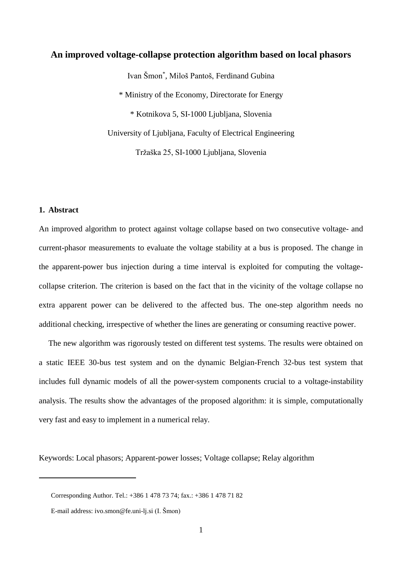# **An improved voltage-collapse protection algorithm based on local phasors**

Ivan Šmon\* , Miloš Pantoš, Ferdinand Gubina \* Ministry of the Economy, Directorate for Energy \* Kotnikova 5, SI-1000 Ljubljana, Slovenia University of Ljubljana, Faculty of Electrical Engineering Tržaška 25, SI-1000 Ljubljana, Slovenia

#### **1. Abstract**

 $\overline{a}$ 

An improved algorithm to protect against voltage collapse based on two consecutive voltage- and current-phasor measurements to evaluate the voltage stability at a bus is proposed. The change in the apparent-power bus injection during a time interval is exploited for computing the voltagecollapse criterion. The criterion is based on the fact that in the vicinity of the voltage collapse no extra apparent power can be delivered to the affected bus. The one-step algorithm needs no additional checking, irrespective of whether the lines are generating or consuming reactive power.

The new algorithm was rigorously tested on different test systems. The results were obtained on a static IEEE 30-bus test system and on the dynamic Belgian-French 32-bus test system that includes full dynamic models of all the power-system components crucial to a voltage-instability analysis. The results show the advantages of the proposed algorithm: it is simple, computationally very fast and easy to implement in a numerical relay.

Keywords: Local phasors; Apparent-power losses; Voltage collapse; Relay algorithm

Corresponding Author. Tel.: +386 1 478 73 74; fax.: +386 1 478 71 82

E-mail address: ivo.smon@fe.uni-lj.si (I. Šmon)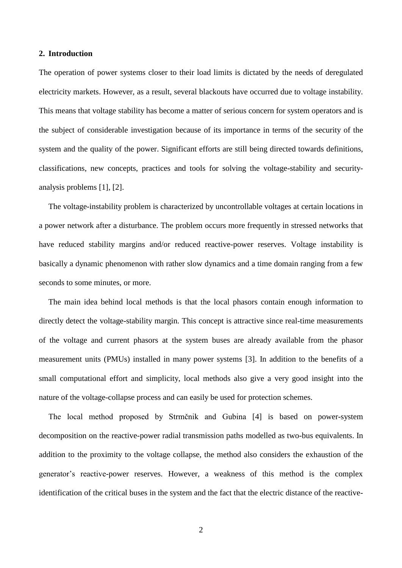#### **2. Introduction**

The operation of power systems closer to their load limits is dictated by the needs of deregulated electricity markets. However, as a result, several blackouts have occurred due to voltage instability. This means that voltage stability has become a matter of serious concern for system operators and is the subject of considerable investigation because of its importance in terms of the security of the system and the quality of the power. Significant efforts are still being directed towards definitions, classifications, new concepts, practices and tools for solving the voltage-stability and securityanalysis problems [\[1\],](#page-11-0) [\[2\].](#page-11-1)

The voltage-instability problem is characterized by uncontrollable voltages at certain locations in a power network after a disturbance. The problem occurs more frequently in stressed networks that have reduced stability margins and/or reduced reactive-power reserves. Voltage instability is basically a dynamic phenomenon with rather slow dynamics and a time domain ranging from a few seconds to some minutes, or more.

The main idea behind local methods is that the local phasors contain enough information to directly detect the voltage-stability margin. This concept is attractive since real-time measurements of the voltage and current phasors at the system buses are already available from the phasor measurement units (PMUs) installed in many power systems [\[3\].](#page-11-2) In addition to the benefits of a small computational effort and simplicity, local methods also give a very good insight into the nature of the voltage-collapse process and can easily be used for protection schemes.

The local method proposed by Strmčnik and Gubina [\[4\]](#page-11-3) is based on power-system decomposition on the reactive-power radial transmission paths modelled as two-bus equivalents. In addition to the proximity to the voltage collapse, the method also considers the exhaustion of the generator's reactive-power reserves. However, a weakness of this method is the complex identification of the critical buses in the system and the fact that the electric distance of the reactive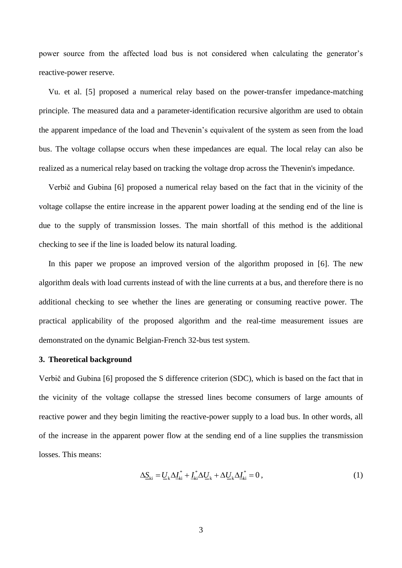power source from the affected load bus is not considered when calculating the generator's reactive-power reserve.

Vu. et al. [\[5\]](#page-11-4) proposed a numerical relay based on the power-transfer impedance-matching principle. The measured data and a parameter-identification recursive algorithm are used to obtain the apparent impedance of the load and Thevenin's equivalent of the system as seen from the load bus. The voltage collapse occurs when these impedances are equal. The local relay can also be realized as a numerical relay based on tracking the voltage drop across the Thevenin's impedance.

Verbič and Gubina [\[6\]](#page-11-5) proposed a numerical relay based on the fact that in the vicinity of the voltage collapse the entire increase in the apparent power loading at the sending end of the line is due to the supply of transmission losses. The main shortfall of this method is the additional checking to see if the line is loaded below its natural loading.

In this paper we propose an improved version of the algorithm proposed in [\[6\].](#page-11-5) The new algorithm deals with load currents instead of with the line currents at a bus, and therefore there is no additional checking to see whether the lines are generating or consuming reactive power. The practical applicability of the proposed algorithm and the real-time measurement issues are demonstrated on the dynamic Belgian-French 32-bus test system.

#### **3. Theoretical background**

Verbič and Gubina [\[6\]](#page-11-5) proposed the S difference criterion (SDC), which is based on the fact that in the vicinity of the voltage collapse the stressed lines become consumers of large amounts of reactive power and they begin limiting the reactive-power supply to a load bus. In other words, all of the increase in the apparent power flow at the sending end of a line supplies the transmission losses. This means:

$$
\Delta \underline{S}_{ki} = \underline{U}_k \Delta \underline{I}_{ki}^* + \underline{I}_{ki}^* \Delta \underline{U}_k + \Delta \underline{U}_k \Delta \underline{I}_{ki}^* = 0, \qquad (1)
$$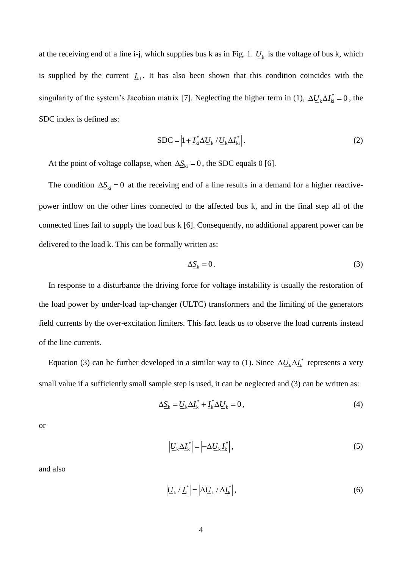at the receiving end of a line i-j, which supplies bus k as in [Fig. 1.](#page-15-0)  $U_k$  is the voltage of bus k, which is supplied by the current  $I_{ki}$ . It has also been shown that this condition coincides with the singularity of the system's Jacobian matrix [\[7\].](#page-11-6) Neglecting the higher term in (1),  $\Delta U_k \Delta I_k^* = 0$ , the SDC index is defined as:

$$
SDC = \left| 1 + \underline{I}_{ki}^* \Delta \underline{U}_k / \underline{U}_k \Delta \underline{I}_{ki}^* \right|.
$$
 (2)

At the point of voltage collapse, when  $\Delta S_{ki} = 0$ , the SDC equals 0 [\[6\].](#page-11-5)

The condition  $\Delta S_{ki} = 0$  at the receiving end of a line results in a demand for a higher reactivepower inflow on the other lines connected to the affected bus k, and in the final step all of the connected lines fail to supply the load bus k [\[6\].](#page-11-5) Consequently, no additional apparent power can be delivered to the load k. This can be formally written as:

$$
\Delta \underline{S}_{k} = 0. \tag{3}
$$

In response to a disturbance the driving force for voltage instability is usually the restoration of the load power by under-load tap-changer (ULTC) transformers and the limiting of the generators field currents by the over-excitation limiters. This fact leads us to observe the load currents instead of the line currents.

Equation (3) can be further developed in a similar way to (1). Since  $\Delta U_k \Delta I_k^*$  represents a very small value if a sufficiently small sample step is used, it can be neglected and (3) can be written as:

$$
\Delta \underline{S}_k = \underline{U}_k \Delta \underline{I}_k^* + \underline{I}_k^* \Delta \underline{U}_k = 0, \tag{4}
$$

or

$$
\left| \underline{U}_{k} \Delta \underline{I}_{k}^{*} \right| = \left| -\Delta \underline{U}_{k} \underline{I}_{k}^{*} \right|,\tag{5}
$$

and also

$$
\left| \underline{U}_{k} \, / \, \underline{I}_{k}^{*} \right| = \left| \Delta \underline{U}_{k} \, / \, \Delta \underline{I}_{k}^{*} \right|,\tag{6}
$$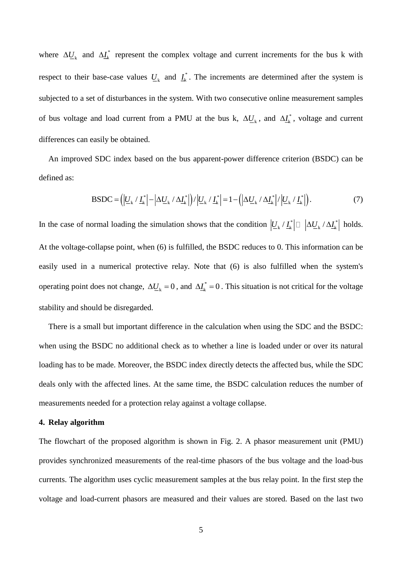where  $\Delta U_{k}$  and  $\Delta I_{k}^{*}$  represent the complex voltage and current increments for the bus k with respect to their base-case values  $U_k$  and  $I_k^*$ . The increments are determined after the system is subjected to a set of disturbances in the system. With two consecutive online measurement samples of bus voltage and load current from a PMU at the bus k,  $\Delta U_k$ , and  $\Delta I_k^*$ , voltage and current differences can easily be obtained.

An improved SDC index based on the bus apparent-power difference criterion (BSDC) can be defined as:

$$
BSDC = \left( \left| \underline{U}_{k} / \underline{I}_{k}^{*} \right| - \left| \Delta \underline{U}_{k} / \Delta \underline{I}_{k}^{*} \right| \right) / \left| \underline{U}_{k} / \underline{I}_{k}^{*} \right| = 1 - \left( \left| \Delta \underline{U}_{k} / \Delta \underline{I}_{k}^{*} \right| / \left| \underline{U}_{k} / \underline{I}_{k}^{*} \right| \right).
$$
\n(7)

In the case of normal loading the simulation shows that the condition  $|\underline{U}_k/\underline{I}_k^*| \Box |\Delta \underline{U}_k/\Delta \underline{I}_k^*|$  $U_{\mathbf{k}} / \underline{I}_{\mathbf{k}}^*$   $\Box$   $\Delta U_{\mathbf{k}} / \Delta \underline{I}_{\mathbf{k}}^*$  holds. At the voltage-collapse point, when (6) is fulfilled, the BSDC reduces to 0. This information can be easily used in a numerical protective relay. Note that (6) is also fulfilled when the system's operating point does not change,  $\Delta U_k = 0$ , and  $\Delta I_k^* = 0$ . This situation is not critical for the voltage stability and should be disregarded.

There is a small but important difference in the calculation when using the SDC and the BSDC: when using the BSDC no additional check as to whether a line is loaded under or over its natural loading has to be made. Moreover, the BSDC index directly detects the affected bus, while the SDC deals only with the affected lines. At the same time, the BSDC calculation reduces the number of measurements needed for a protection relay against a voltage collapse.

#### **4. Relay algorithm**

The flowchart of the proposed algorithm is shown in [Fig. 2.](#page-15-1) A phasor measurement unit (PMU) provides synchronized measurements of the real-time phasors of the bus voltage and the load-bus currents. The algorithm uses cyclic measurement samples at the bus relay point. In the first step the voltage and load-current phasors are measured and their values are stored. Based on the last two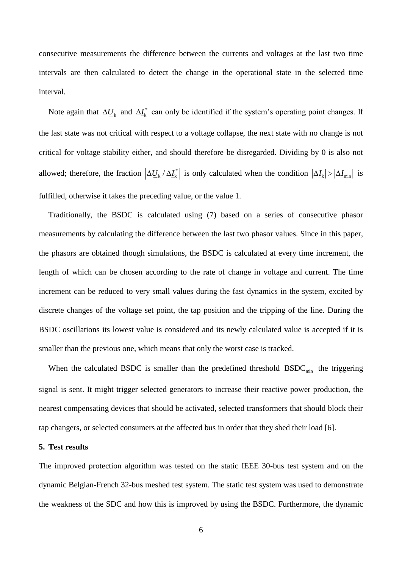consecutive measurements the difference between the currents and voltages at the last two time intervals are then calculated to detect the change in the operational state in the selected time interval.

Note again that  $\Delta U_k$  and  $\Delta I_k^*$  can only be identified if the system's operating point changes. If the last state was not critical with respect to a voltage collapse, the next state with no change is not critical for voltage stability either, and should therefore be disregarded. Dividing by 0 is also not allowed; therefore, the fraction  $|\Delta U_{k}/\Delta I_{k}|$  is only calculated when the condition  $|\Delta I_{k}| > |\Delta I_{min}|$  is fulfilled, otherwise it takes the preceding value, or the value 1.

Traditionally, the BSDC is calculated using (7) based on a series of consecutive phasor measurements by calculating the difference between the last two phasor values. Since in this paper, the phasors are obtained though simulations, the BSDC is calculated at every time increment, the length of which can be chosen according to the rate of change in voltage and current. The time increment can be reduced to very small values during the fast dynamics in the system, excited by discrete changes of the voltage set point, the tap position and the tripping of the line. During the BSDC oscillations its lowest value is considered and its newly calculated value is accepted if it is smaller than the previous one, which means that only the worst case is tracked.

When the calculated BSDC is smaller than the predefined threshold  $BSDC_{min}$  the triggering signal is sent. It might trigger selected generators to increase their reactive power production, the nearest compensating devices that should be activated, selected transformers that should block their tap changers, or selected consumers at the affected bus in order that they shed their load [\[6\].](#page-11-5)

#### **5. Test results**

The improved protection algorithm was tested on the static IEEE 30-bus test system and on the dynamic Belgian-French 32-bus meshed test system. The static test system was used to demonstrate the weakness of the SDC and how this is improved by using the BSDC. Furthermore, the dynamic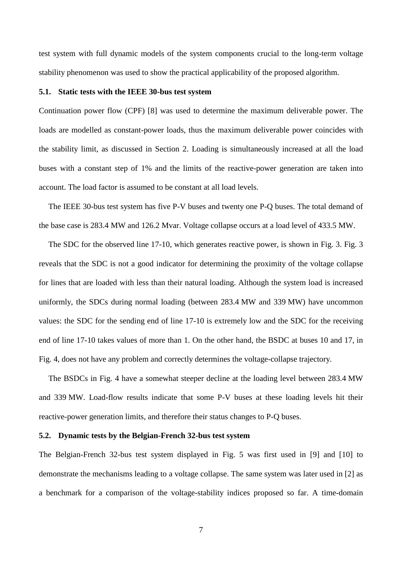test system with full dynamic models of the system components crucial to the long-term voltage stability phenomenon was used to show the practical applicability of the proposed algorithm.

#### **5.1. Static tests with the IEEE 30-bus test system**

Continuation power flow (CPF) [\[8\]](#page-11-7) was used to determine the maximum deliverable power. The loads are modelled as constant-power loads, thus the maximum deliverable power coincides with the stability limit, as discussed in Section 2. Loading is simultaneously increased at all the load buses with a constant step of 1% and the limits of the reactive-power generation are taken into account. The load factor is assumed to be constant at all load levels.

The IEEE 30-bus test system has five P-V buses and twenty one P-Q buses. The total demand of the base case is 283.4 MW and 126.2 Mvar. Voltage collapse occurs at a load level of 433.5 MW.

The SDC for the observed line 17-10, which generates reactive power, is shown in [Fig. 3. Fig. 3](#page-16-0) reveals that the SDC is not a good indicator for determining the proximity of the voltage collapse for lines that are loaded with less than their natural loading. Although the system load is increased uniformly, the SDCs during normal loading (between 283.4 MW and 339 MW) have uncommon values: the SDC for the sending end of line 17-10 is extremely low and the SDC for the receiving end of line 17-10 takes values of more than 1. On the other hand, the BSDC at buses 10 and 17, in [Fig. 4,](#page-16-1) does not have any problem and correctly determines the voltage-collapse trajectory.

The BSDCs in [Fig. 4](#page-16-1) have a somewhat steeper decline at the loading level between 283.4 MW and 339 MW. Load-flow results indicate that some P-V buses at these loading levels hit their reactive-power generation limits, and therefore their status changes to P-Q buses.

#### **5.2. Dynamic tests by the Belgian-French 32-bus test system**

The Belgian-French 32-bus test system displayed in [Fig. 5](#page-17-0) was first used in [\[9\]](#page-11-8) and [\[10\]](#page-11-9) to demonstrate the mechanisms leading to a voltage collapse. The same system was later used in [\[2\]](#page-11-1) as a benchmark for a comparison of the voltage-stability indices proposed so far. A time-domain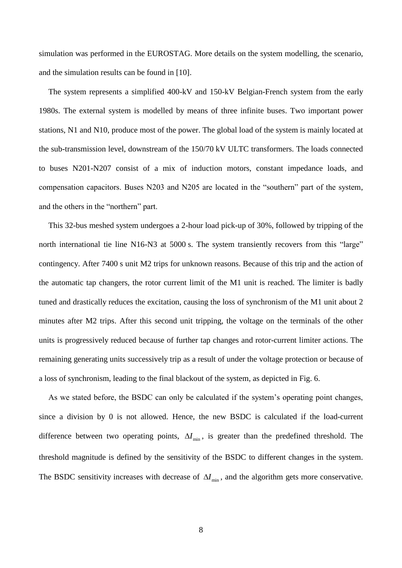simulation was performed in the EUROSTAG. More details on the system modelling, the scenario, and the simulation results can be found in [\[10\].](#page-11-9)

The system represents a simplified 400-kV and 150-kV Belgian-French system from the early 1980s. The external system is modelled by means of three infinite buses. Two important power stations, N1 and N10, produce most of the power. The global load of the system is mainly located at the sub-transmission level, downstream of the 150/70 kV ULTC transformers. The loads connected to buses N201-N207 consist of a mix of induction motors, constant impedance loads, and compensation capacitors. Buses N203 and N205 are located in the "southern" part of the system, and the others in the "northern" part.

This 32-bus meshed system undergoes a 2-hour load pick-up of 30%, followed by tripping of the north international tie line N16-N3 at 5000 s. The system transiently recovers from this "large" contingency. After 7400 s unit M2 trips for unknown reasons. Because of this trip and the action of the automatic tap changers, the rotor current limit of the M1 unit is reached. The limiter is badly tuned and drastically reduces the excitation, causing the loss of synchronism of the M1 unit about 2 minutes after M2 trips. After this second unit tripping, the voltage on the terminals of the other units is progressively reduced because of further tap changes and rotor-current limiter actions. The remaining generating units successively trip as a result of under the voltage protection or because of a loss of synchronism, leading to the final blackout of the system, as depicted in [Fig. 6.](#page-17-1)

As we stated before, the BSDC can only be calculated if the system's operating point changes, since a division by 0 is not allowed. Hence, the new BSDC is calculated if the load-current difference between two operating points,  $\Delta I_{\text{min}}$ , is greater than the predefined threshold. The threshold magnitude is defined by the sensitivity of the BSDC to different changes in the system. The BSDC sensitivity increases with decrease of  $\Delta I_{\text{min}}$ , and the algorithm gets more conservative.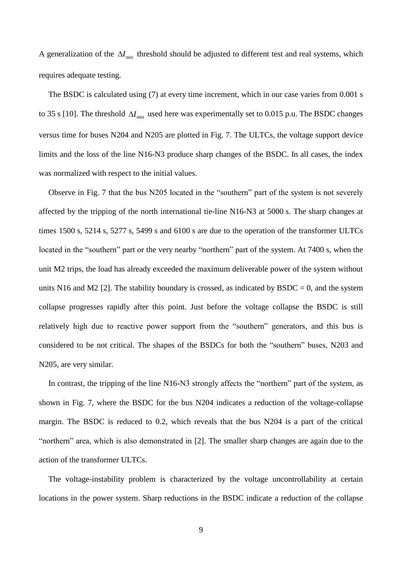A generalization of the  $\Delta I_{\text{min}}$  threshold should be adjusted to different test and real systems, which requires adequate testing.

The BSDC is calculated using (7) at every time increment, which in our case varies from 0.001 s to 35 s [\[10\].](#page-11-9) The threshold  $\Delta I_{\text{min}}$  used here was experimentally set to 0.015 p.u. The BSDC changes versus time for buses N204 and N205 are plotted in [Fig. 7.](#page-18-0) The ULTCs, the voltage support device limits and the loss of the line N16-N3 produce sharp changes of the BSDC. In all cases, the index was normalized with respect to the initial values.

Observe in [Fig. 7](#page-18-0) that the bus N205 located in the "southern" part of the system is not severely affected by the tripping of the north international tie-line N16-N3 at 5000 s. The sharp changes at times 1500 s, 5214 s, 5277 s, 5499 s and 6100 s are due to the operation of the transformer ULTCs located in the "southern" part or the very nearby "northern" part of the system. At 7400 s, when the unit M2 trips, the load has already exceeded the maximum deliverable power of the system without units N16 and M2 [\[2\].](#page-11-1) The stability boundary is crossed, as indicated by  $BSDC = 0$ , and the system collapse progresses rapidly after this point. Just before the voltage collapse the BSDC is still relatively high due to reactive power support from the "southern" generators, and this bus is considered to be not critical. The shapes of the BSDCs for both the "southern" buses, N203 and N205, are very similar.

In contrast, the tripping of the line N16-N3 strongly affects the "northern" part of the system, as shown in [Fig. 7,](#page-18-0) where the BSDC for the bus N204 indicates a reduction of the voltage-collapse margin. The BSDC is reduced to 0.2, which reveals that the bus N204 is a part of the critical "northern" area, which is also demonstrated in [\[2\].](#page-11-1) The smaller sharp changes are again due to the action of the transformer ULTCs.

The voltage-instability problem is characterized by the voltage uncontrollability at certain locations in the power system. Sharp reductions in the BSDC indicate a reduction of the collapse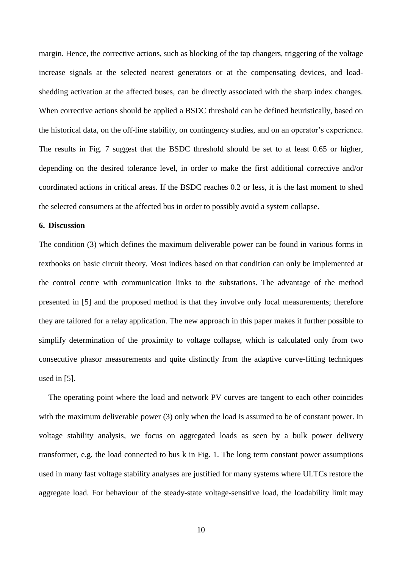margin. Hence, the corrective actions, such as blocking of the tap changers, triggering of the voltage increase signals at the selected nearest generators or at the compensating devices, and loadshedding activation at the affected buses, can be directly associated with the sharp index changes. When corrective actions should be applied a BSDC threshold can be defined heuristically, based on the historical data, on the off-line stability, on contingency studies, and on an operator's experience. The results in [Fig. 7](#page-18-0) suggest that the BSDC threshold should be set to at least 0.65 or higher, depending on the desired tolerance level, in order to make the first additional corrective and/or coordinated actions in critical areas. If the BSDC reaches 0.2 or less, it is the last moment to shed the selected consumers at the affected bus in order to possibly avoid a system collapse.

#### **6. Discussion**

The condition (3) which defines the maximum deliverable power can be found in various forms in textbooks on basic circuit theory. Most indices based on that condition can only be implemented at the control centre with communication links to the substations. The advantage of the method presented in [\[5\]](#page-11-4) and the proposed method is that they involve only local measurements; therefore they are tailored for a relay application. The new approach in this paper makes it further possible to simplify determination of the proximity to voltage collapse, which is calculated only from two consecutive phasor measurements and quite distinctly from the adaptive curve-fitting techniques used in [\[5\].](#page-11-4)

The operating point where the load and network PV curves are tangent to each other coincides with the maximum deliverable power (3) only when the load is assumed to be of constant power. In voltage stability analysis, we focus on aggregated loads as seen by a bulk power delivery transformer, e.g. the load connected to bus k in [Fig. 1.](#page-15-0) The long term constant power assumptions used in many fast voltage stability analyses are justified for many systems where ULTCs restore the aggregate load. For behaviour of the steady-state voltage-sensitive load, the loadability limit may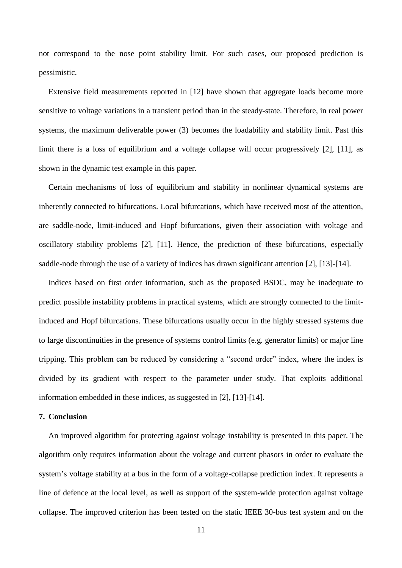not correspond to the nose point stability limit. For such cases, our proposed prediction is pessimistic.

Extensive field measurements reported in [\[12\]](#page-12-0) have shown that aggregate loads become more sensitive to voltage variations in a transient period than in the steady-state. Therefore, in real power systems, the maximum deliverable power (3) becomes the loadability and stability limit. Past this limit there is a loss of equilibrium and a voltage collapse will occur progressively [\[2\],](#page-11-1) [\[11\],](#page-12-1) as shown in the dynamic test example in this paper.

Certain mechanisms of loss of equilibrium and stability in nonlinear dynamical systems are inherently connected to bifurcations. Local bifurcations, which have received most of the attention, are saddle-node, limit-induced and Hopf bifurcations, given their association with voltage and oscillatory stability problems [\[2\],](#page-11-1) [\[11\].](#page-12-1) Hence, the prediction of these bifurcations, especially saddle-node through the use of a variety of indices has drawn significant attention [\[2\],](#page-11-1) [\[13\]](#page-12-2)[-\[14\].](#page-12-3)

Indices based on first order information, such as the proposed BSDC, may be inadequate to predict possible instability problems in practical systems, which are strongly connected to the limitinduced and Hopf bifurcations. These bifurcations usually occur in the highly stressed systems due to large discontinuities in the presence of systems control limits (e.g. generator limits) or major line tripping. This problem can be reduced by considering a "second order" index, where the index is divided by its gradient with respect to the parameter under study. That exploits additional information embedded in these indices, as suggested in [\[2\],](#page-11-1) [\[13\]](#page-12-2)[-\[14\].](#page-12-3)

## **7. Conclusion**

An improved algorithm for protecting against voltage instability is presented in this paper. The algorithm only requires information about the voltage and current phasors in order to evaluate the system's voltage stability at a bus in the form of a voltage-collapse prediction index. It represents a line of defence at the local level, as well as support of the system-wide protection against voltage collapse. The improved criterion has been tested on the static IEEE 30-bus test system and on the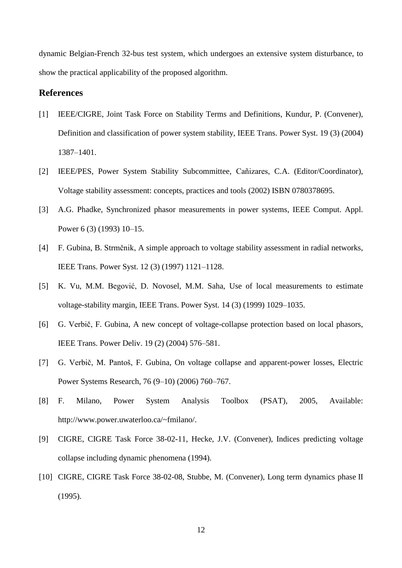dynamic Belgian-French 32-bus test system, which undergoes an extensive system disturbance, to show the practical applicability of the proposed algorithm.

# **References**

- <span id="page-11-0"></span>[1] IEEE/CIGRE, Joint Task Force on Stability Terms and Definitions, Kundur, P. (Convener), Definition and classification of power system stability, IEEE Trans. Power Syst. 19 (3) (2004) 1387–1401.
- <span id="page-11-1"></span>[2] IEEE/PES, Power System Stability Subcommittee, Cañizares, C.A. (Editor/Coordinator), Voltage stability assessment: concepts, practices and tools (2002) ISBN 0780378695.
- <span id="page-11-2"></span>[3] A.G. Phadke, Synchronized phasor measurements in power systems, IEEE Comput. Appl. Power 6 (3) (1993) 10–15.
- <span id="page-11-3"></span>[4] F. Gubina, B. Strmčnik, A simple approach to voltage stability assessment in radial networks, IEEE Trans. Power Syst. 12 (3) (1997) 1121–1128.
- <span id="page-11-4"></span>[5] K. Vu, M.M. Begović, D. Novosel, M.M. Saha, Use of local measurements to estimate voltage-stability margin, IEEE Trans. Power Syst. 14 (3) (1999) 1029–1035.
- <span id="page-11-5"></span>[6] G. Verbič, F. Gubina, A new concept of voltage-collapse protection based on local phasors, IEEE Trans. Power Deliv. 19 (2) (2004) 576–581.
- <span id="page-11-6"></span>[7] G. Verbič, M. Pantoš, F. Gubina, On voltage collapse and apparent-power losses, Electric Power Systems Research, 76 (9–10) (2006) 760–767.
- <span id="page-11-7"></span>[8] F. Milano, Power System Analysis Toolbox (PSAT), 2005, Available: http://www.power.uwaterloo.ca/~fmilano/.
- <span id="page-11-8"></span>[9] CIGRE, CIGRE Task Force 38-02-11, Hecke, J.V. (Convener), Indices predicting voltage collapse including dynamic phenomena (1994).
- <span id="page-11-9"></span>[10] CIGRE, CIGRE Task Force 38-02-08, Stubbe, M. (Convener), Long term dynamics phase II (1995).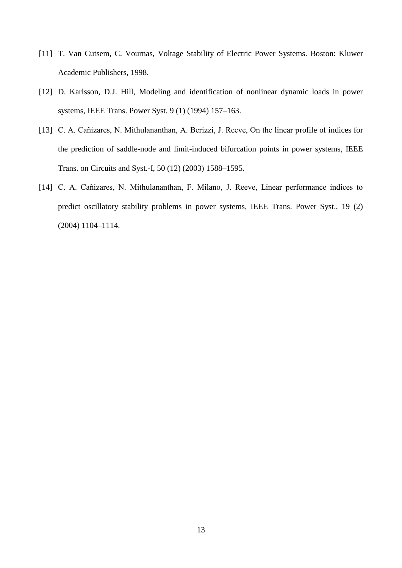- <span id="page-12-1"></span>[11] T. Van Cutsem, C. Vournas, Voltage Stability of Electric Power Systems. Boston: Kluwer Academic Publishers, 1998.
- <span id="page-12-0"></span>[12] D. Karlsson, D.J. Hill, Modeling and identification of nonlinear dynamic loads in power systems, IEEE Trans. Power Syst. 9 (1) (1994) 157–163.
- <span id="page-12-2"></span>[13] C. A. Cañizares, N. Mithulananthan, A. Berizzi, J. Reeve, On the linear profile of indices for the prediction of saddle-node and limit-induced bifurcation points in power systems, IEEE Trans. on Circuits and Syst.-I, 50 (12) (2003) 1588–1595.
- <span id="page-12-3"></span>[14] C. A. Cañizares, N. Mithulananthan, F. Milano, J. Reeve, Linear performance indices to predict oscillatory stability problems in power systems, IEEE Trans. Power Syst., 19 (2) (2004) 1104–1114.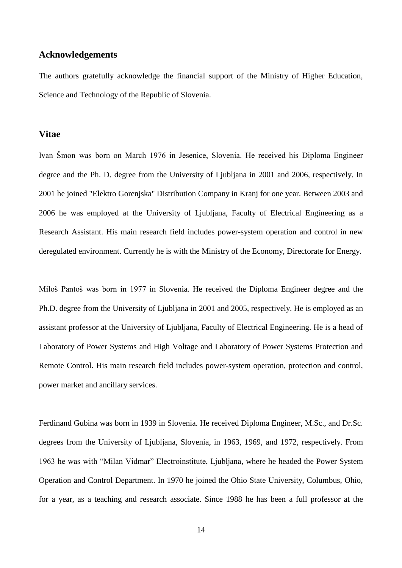# **Acknowledgements**

The authors gratefully acknowledge the financial support of the Ministry of Higher Education, Science and Technology of the Republic of Slovenia.

#### **Vitae**

Ivan Šmon was born on March 1976 in Jesenice, Slovenia. He received his Diploma Engineer degree and the Ph. D. degree from the University of Ljubljana in 2001 and 2006, respectively. In 2001 he joined "Elektro Gorenjska" Distribution Company in Kranj for one year. Between 2003 and 2006 he was employed at the University of Ljubljana, Faculty of Electrical Engineering as a Research Assistant. His main research field includes power-system operation and control in new deregulated environment. Currently he is with the Ministry of the Economy, Directorate for Energy.

Miloš Pantoš was born in 1977 in Slovenia. He received the Diploma Engineer degree and the Ph.D. degree from the University of Ljubljana in 2001 and 2005, respectively. He is employed as an assistant professor at the University of Ljubljana, Faculty of Electrical Engineering. He is a head of Laboratory of Power Systems and High Voltage and Laboratory of Power Systems Protection and Remote Control. His main research field includes power-system operation, protection and control, power market and ancillary services.

Ferdinand Gubina was born in 1939 in Slovenia. He received Diploma Engineer, M.Sc., and Dr.Sc. degrees from the University of Ljubljana, Slovenia, in 1963, 1969, and 1972, respectively. From 1963 he was with "Milan Vidmar" Electroinstitute, Ljubljana, where he headed the Power System Operation and Control Department. In 1970 he joined the Ohio State University, Columbus, Ohio, for a year, as a teaching and research associate. Since 1988 he has been a full professor at the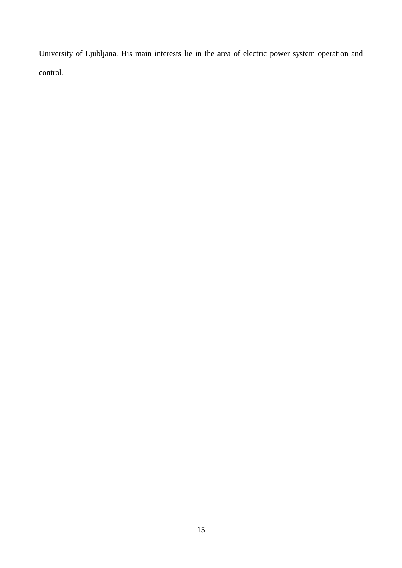University of Ljubljana. His main interests lie in the area of electric power system operation and control.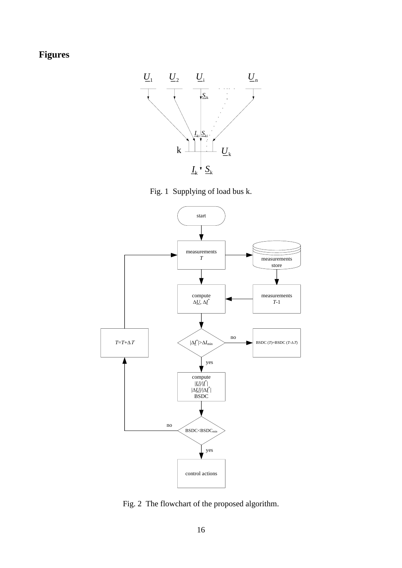# **Figures**





<span id="page-15-0"></span>

<span id="page-15-1"></span>Fig. 2 The flowchart of the proposed algorithm.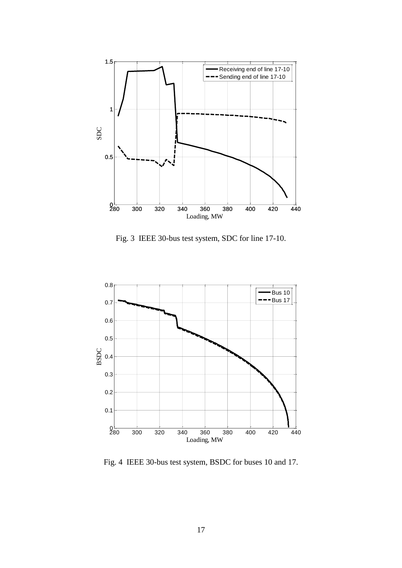

Fig. 3 IEEE 30-bus test system, SDC for line 17-10.

<span id="page-16-0"></span>

<span id="page-16-1"></span>Fig. 4 IEEE 30-bus test system, BSDC for buses 10 and 17.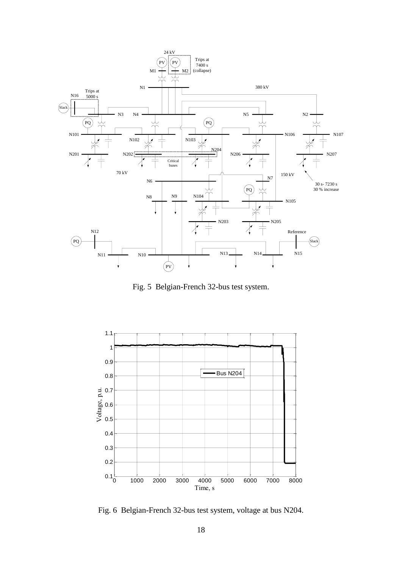

Fig. 5 Belgian-French 32-bus test system.

<span id="page-17-0"></span>

<span id="page-17-1"></span>Fig. 6 Belgian-French 32-bus test system, voltage at bus N204.